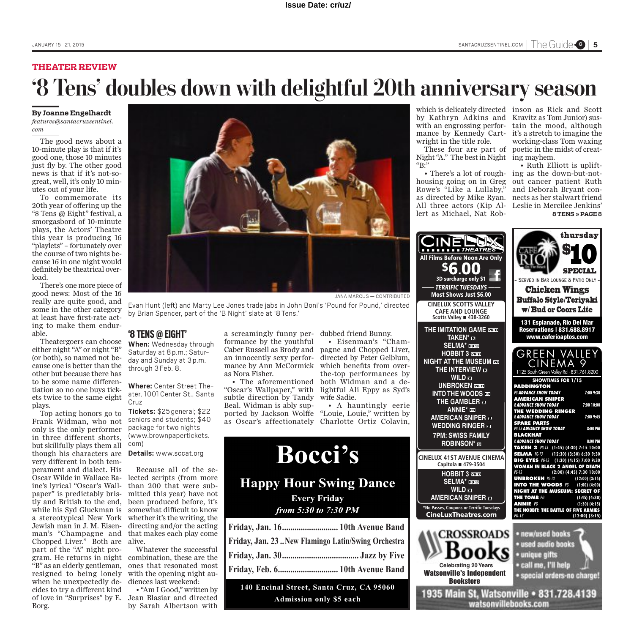## **THEATER REVIEW '8 Tens' doubles down with delightful 20th anniversary season**

#### **By Joanne Engelhardt** *features@santacruzsentinel. com*

The good news about a 10-minute play is that if it's good one, those 10 minutes just fly by. The other good news is that if it's not-sogreat, well, it's only 10 minutes out of your life.

To commemorate its 20th year of offering up the "8 Tens @ Eight" festival, a smorgasbord of 10-minute plays, the Actors' Theatre this year is producing 16 "playlets" – fortunately over the course of two nights because 16 in one night would definitely be theatrical overload.

There's one more piece of good news: Most of the 16 really are quite good, and some in the other category at least have first-rate acting to make them endurable.

Theatergoers can choose either night "A" or night "B" (or both), so named not because one is better than the other but because there has to be some name differentiation so no one buys tickets twice to the same eight plays.

Top acting honors go to Frank Widman, who not only is the only performer package for two nights in three different shorts, but skillfully plays them all though his characters are **Details:** www.sccat.org very different in both temperament and dialect. His Oscar Wilde in Wallace Baine's lyrical "Oscar's Wallpaper" is predictably bristly and British to the end, while his Syd Gluckman is a stereotypical New York Jewish man in J. M. Eisen-Chopped Liver." Both are alive. part of the "A" night program. He returns in night "B" as an elderly gentleman, resigned to being lonely when he unexpectedly decides to try a different kind of love in "Surprises" by E. Borg.



JANA MARCUS — CONTRIBUTED

Evan Hunt (left) and Marty Lee Jones trade jabs in John Boni's 'Pound for Pound,' directed by Brian Spencer, part of the 'B Night' slate at '8Tens.'

### **'8 TENS@EIGHT'**

**When:** Wednesday through Saturday at 8p.m.; Saturday and Sunday at 3p.m. through 3Feb. 8.

**Where:** Center Street Theater, 1001Center St., Santa Cruz

**Tickets:** \$25general; \$22 seniors and students; \$40 (www.brownpapertickets. com)

man's "Champagne and that makes each play come Because all of the selected scripts (from more than 200 that were submitted this year) have not been produced before, it's somewhat difficult to know whether it's the writing, the directing and/or the acting

> Whatever the successful combination, these are the ones that resonated most with the opening night audiences last weekend:

> • "Am I Good," written by Jean Blasiar and directed by Sarah Albertson with

a screamingly funny performance by the youthful Caber Russell as Brody and an innocently sexy performance by Ann McCormick as Nora Fisher.

• The aforementioned "Oscar's Wallpaper," with lightful Ali Eppy as Syd's subtle direction by Tandy Beal. Widman is ably supported by Jackson Wolffe

dubbed friend Bunny. • Eisenman's "Cham-

pagne and Chopped Liver, directed by Peter Gelblum, which benefits from overthe-top performances by both Widman and a dewife Sadie.

as Oscar's affectionately Charlotte Ortiz Colavin, • A hauntingly eerie "Louie, Louie," written by

# **Bocci's Happy Hour Swing Dance**

**Every Friday** 

from 5:30 to 7:30 PM

| Friday, Jan. 16 10th Avenue Band                  |  |
|---------------------------------------------------|--|
| Friday, Jan. 23New Flamingo Latin/Swing Orchestra |  |
|                                                   |  |
| Friday, Feb. 6 10th Avenue Band                   |  |

**140 Encinal Street, Santa Cruz, CA 95060 Admission only \$5 each**

which is delicately directed inson as Rick and Scott by Kathryn Adkins and Kravitz as Tom Junior) suswith an engrossing performance by Kennedy Cartwright in the title role.

These four are part of Night"A." The best in Night ing mayhem.  ${}^{\alpha}B$ :

housing going on in Greg Rowe's "Like a Lullaby," as directed by Mike Ryan. nects as her stalwart friend All three actors (Kip Al-Leslie in Mercilee Jenkins' lert as Michael, Nat Rob-

All Films Be

**the <b>imit** 

**SeLma\* hobbit 3 night at the interview**

tain the mood, although it's a stretch to imagine the working-class Tom waxing poetic in the midst of creat-

• There's a lot of rough-ing as the down-but-not-• Ruth Elliott is upliftout cancer patient Ruth and Deborah Bryant con-**8 TENS » PAGE 8**

LV |

· special orders-no charge)

| <b>PINE</b><br><b>THE THEATRES</b><br><b>Films Before Noon Are Only</b><br>3D surcharge only \$1<br><b>TERRIFIC TUESDAYS</b><br><b>Most Shows Just \$6.00</b><br><b>CINELUX SCOTTS VALLEY</b><br><b>CAFE AND LOUNGE</b><br>Scotts Valley ■ 438-3260<br><b>HE IMITATION GAME FOR</b><br>TAKEN* E3<br>SELMA <sup>*</sup><br>HOBBIT 3 BEEB<br><b>IIGHT AT THE MUSEUM on</b><br>THE INTERVIEW E<br><b>WILD</b> <sub>B</sub><br><b>UNBROKEN</b><br><b>INTO THE WOODS</b><br><b>THE GAMBLER EN</b><br>ANNIE* EE<br><b>AMERICAN SNIPER EX</b><br><b>WEDDING RINGER EN</b><br><b>7PM: SWISS FAMILY</b><br>ROBINSON* <b>EB</b> | thursday<br><b>SPECIAL</b><br>- SERVED IN BAR LOUNGE & PATIO ONLY -<br><b>Chicken Wings</b><br><b>Buffalo Style/Teriyaki</b><br><b>w/Bud or Coors Lite</b><br>131 Esplanade, Rio Del Mar<br><b>Reservations   831.688.8917</b><br>www.caferioaptos.com<br>GREEN VALLEY<br>CINEMA 9<br>1125 South Green Valley Rd · 831.761.8200<br><b>SHOWTIMES FOR 1/15</b><br><b>PADDINGTON</b><br>PG ADVANCE SHOW TODAY<br>7:00 9:30<br>AMERICAN SNIPER<br><b>RADVANCE SHOW TODAY</b><br>7:00 10:00<br>THE WEDDING RINGER<br>7:00 9:45<br><b>RADVANCE SHOW TODAY</b><br><b>SPARE PARTS</b><br>PG-13 ADVANCE SHOW TODAY<br>8:00 PM<br><b>BLACKHAT</b><br><b>RADVANCE SHOW TODAY</b><br>8:00 PM |
|-----------------------------------------------------------------------------------------------------------------------------------------------------------------------------------------------------------------------------------------------------------------------------------------------------------------------------------------------------------------------------------------------------------------------------------------------------------------------------------------------------------------------------------------------------------------------------------------------------------------------|----------------------------------------------------------------------------------------------------------------------------------------------------------------------------------------------------------------------------------------------------------------------------------------------------------------------------------------------------------------------------------------------------------------------------------------------------------------------------------------------------------------------------------------------------------------------------------------------------------------------------------------------------------------------------------|
| IELUX 41ST AVENUE CINEMA<br>Capitola ■ 479-3504                                                                                                                                                                                                                                                                                                                                                                                                                                                                                                                                                                       | TAKEN 3 PG-13 (1:45) (4:30) 7:15 10:00<br>SELMA PG-13 (12:30) (3:30) 6:30 9:30<br><b>BIG EYES PG-13</b><br>$(1:30)$ $(4:15)$ 7:00 9:30<br>WOMAN IN BLACK 2 ANGEL OF DEATH                                                                                                                                                                                                                                                                                                                                                                                                                                                                                                        |
| <b>HOBBIT 3 REED</b><br><b>SELMA*</b> DOCU<br>WILD <sub>E</sub><br><b>AMERICAN SNIPER EX</b>                                                                                                                                                                                                                                                                                                                                                                                                                                                                                                                          | PG-13<br>(2:00) (4:45) 7:30 10:00<br><b>UNBROKEN PG-13</b><br>$(12:00)$ $(3:15)$<br>INTO THE WOODS $PG$<br>$(1:00)$ $(4:00)$<br><b>NIGHT AT THE MUSEUM: SECRET OF</b><br><b>THE TOMB PG</b><br>$(1:45)$ $(4:30)$<br><b>ANNIE</b> PG<br>$(1:30)$ $(4:15)$                                                                                                                                                                                                                                                                                                                                                                                                                         |
| lo Passes, Coupons or Terrific Tuesdays<br>CineLuxTheatres.com                                                                                                                                                                                                                                                                                                                                                                                                                                                                                                                                                        | THE HOBBIT: THE BATTLE OF FIVE ARMIES<br>PG-13<br>$(12:00)$ $(3:15)$                                                                                                                                                                                                                                                                                                                                                                                                                                                                                                                                                                                                             |
| <b>CROSSROADS</b><br><b>Celebrating 20 Years</b>                                                                                                                                                                                                                                                                                                                                                                                                                                                                                                                                                                      | new/used books<br>used audio books<br>unique gifts<br>call me, I'll help                                                                                                                                                                                                                                                                                                                                                                                                                                                                                                                                                                                                         |

Watsonville's Independent Bookstore **Celebrating 20Years**

**\*No Passes, Coupons or Terrific Tuesdays** CineLu:

 $CINELUX$  41 **Capit** 

1935 Main St, Watsonville . 831.728.4139 watsonvillebooks.com